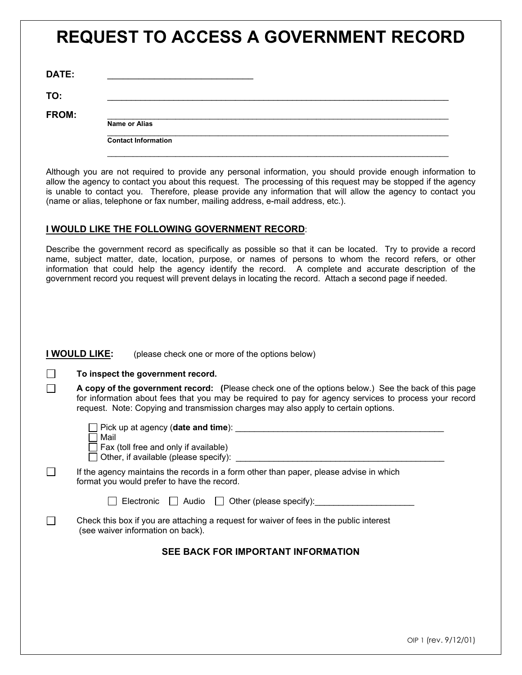# **REQUEST TO ACCESS A GOVERNMENT RECORD**

| DATE: |  |
|-------|--|
|       |  |

**TO:** \_\_\_\_\_\_\_\_\_\_\_\_\_\_\_\_\_\_\_\_\_\_\_\_\_\_\_\_\_\_\_\_\_\_\_\_\_\_\_\_\_\_\_\_\_\_\_\_\_\_\_\_\_\_\_\_\_\_\_\_\_\_\_\_\_\_\_\_\_\_\_\_

П  $\Box$ 

**FROM:** \_\_\_\_\_\_\_\_\_\_\_\_\_\_\_\_\_\_\_\_\_\_\_\_\_\_\_\_\_\_\_\_\_\_\_\_\_\_\_\_\_\_\_\_\_\_\_\_\_\_\_\_\_\_\_\_\_\_\_\_\_\_\_\_\_\_\_\_\_\_\_\_\_\_\_\_\_\_\_\_

**Name or Alias**  $\mathcal{L}_\mathcal{L} = \mathcal{L}_\mathcal{L} = \mathcal{L}_\mathcal{L} = \mathcal{L}_\mathcal{L} = \mathcal{L}_\mathcal{L} = \mathcal{L}_\mathcal{L} = \mathcal{L}_\mathcal{L} = \mathcal{L}_\mathcal{L} = \mathcal{L}_\mathcal{L} = \mathcal{L}_\mathcal{L} = \mathcal{L}_\mathcal{L} = \mathcal{L}_\mathcal{L} = \mathcal{L}_\mathcal{L} = \mathcal{L}_\mathcal{L} = \mathcal{L}_\mathcal{L} = \mathcal{L}_\mathcal{L} = \mathcal{L}_\mathcal{L}$ 

**Contact Information**

Although you are not required to provide any personal information, you should provide enough information to allow the agency to contact you about this request. The processing of this request may be stopped if the agency is unable to contact you. Therefore, please provide any information that will allow the agency to contact you (name or alias, telephone or fax number, mailing address, e-mail address, etc.).

 $\mathcal{L}_\mathcal{L} = \mathcal{L}_\mathcal{L} = \mathcal{L}_\mathcal{L} = \mathcal{L}_\mathcal{L} = \mathcal{L}_\mathcal{L} = \mathcal{L}_\mathcal{L} = \mathcal{L}_\mathcal{L} = \mathcal{L}_\mathcal{L} = \mathcal{L}_\mathcal{L} = \mathcal{L}_\mathcal{L} = \mathcal{L}_\mathcal{L} = \mathcal{L}_\mathcal{L} = \mathcal{L}_\mathcal{L} = \mathcal{L}_\mathcal{L} = \mathcal{L}_\mathcal{L} = \mathcal{L}_\mathcal{L} = \mathcal{L}_\mathcal{L}$ 

#### **I WOULD LIKE THE FOLLOWING GOVERNMENT RECORD**:

Describe the government record as specifically as possible so that it can be located. Try to provide a record name, subject matter, date, location, purpose, or names of persons to whom the record refers, or other information that could help the agency identify the record. A complete and accurate description of the government record you request will prevent delays in locating the record. Attach a second page if needed.

#### **I WOULD LIKE:** (please check one or more of the options below)

| To inspect the government record. |  |  |
|-----------------------------------|--|--|
|-----------------------------------|--|--|

**A copy of the government record: (**Please check one of the options below.) See the back of this page for information about fees that you may be required to pay for agency services to process your record request. Note: Copying and transmission charges may also apply to certain options.

| Pick up at agency (date and time):<br>Mail<br>Fax (toll free and only if available)<br>Other, if available (please specify):          |
|---------------------------------------------------------------------------------------------------------------------------------------|
| If the agency maintains the records in a form other than paper, please advise in which<br>format you would prefer to have the record. |
| $\blacksquare$ Electronic $\blacksquare$ Audio $\blacksquare$ Other (please specify):                                                 |
| Check this box if you are attaching a request for waiver of fees in the public interest<br>(see waiver information on back).          |
| SEE BACK FOR IMPORTANT INFORMATION                                                                                                    |
|                                                                                                                                       |
|                                                                                                                                       |
|                                                                                                                                       |